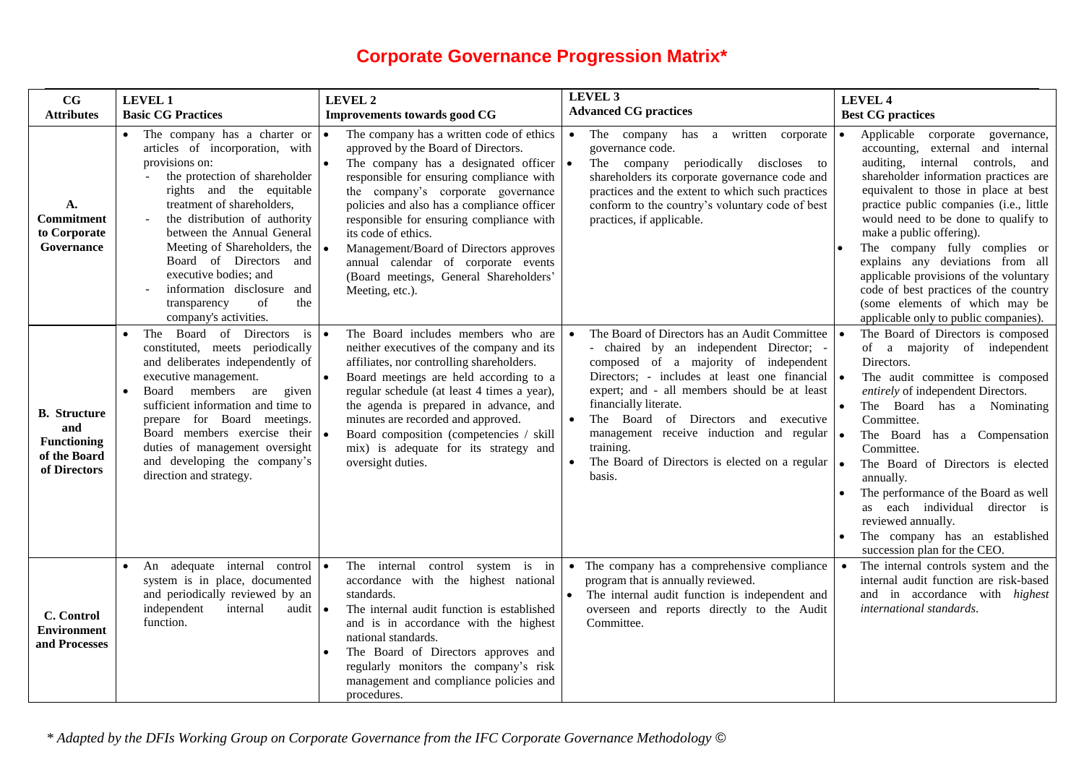## **Corporate Governance Progression Matrix\***

| $_{\rm CG}$                                                                      | <b>LEVEL 1</b>                                                                                                                                                                                                                                                                                                                                                                                                                           | LEVEL 2                                                                                                                                                                                                                                                                                                                                                                                                                                                                          | <b>LEVEL 3</b><br><b>Advanced CG practices</b>                                                                                                                                                                                                                                                                                                                                                                                    | <b>LEVEL 4</b>                                                                                                                                                                                                                                                                                                                                                                                                                                                                                                                                              |
|----------------------------------------------------------------------------------|------------------------------------------------------------------------------------------------------------------------------------------------------------------------------------------------------------------------------------------------------------------------------------------------------------------------------------------------------------------------------------------------------------------------------------------|----------------------------------------------------------------------------------------------------------------------------------------------------------------------------------------------------------------------------------------------------------------------------------------------------------------------------------------------------------------------------------------------------------------------------------------------------------------------------------|-----------------------------------------------------------------------------------------------------------------------------------------------------------------------------------------------------------------------------------------------------------------------------------------------------------------------------------------------------------------------------------------------------------------------------------|-------------------------------------------------------------------------------------------------------------------------------------------------------------------------------------------------------------------------------------------------------------------------------------------------------------------------------------------------------------------------------------------------------------------------------------------------------------------------------------------------------------------------------------------------------------|
| <b>Attributes</b>                                                                | <b>Basic CG Practices</b>                                                                                                                                                                                                                                                                                                                                                                                                                | <b>Improvements towards good CG</b>                                                                                                                                                                                                                                                                                                                                                                                                                                              |                                                                                                                                                                                                                                                                                                                                                                                                                                   | <b>Best CG practices</b>                                                                                                                                                                                                                                                                                                                                                                                                                                                                                                                                    |
| A.<br>Commitment<br>to Corporate<br>Governance                                   | The company has a charter or<br>articles of incorporation, with<br>provisions on:<br>the protection of shareholder<br>rights and the equitable<br>treatment of shareholders,<br>the distribution of authority<br>between the Annual General<br>Meeting of Shareholders, the $\vert \bullet \vert$<br>Board of Directors and<br>executive bodies; and<br>information disclosure and<br>transparency<br>of<br>the<br>company's activities. | The company has a written code of ethics<br>approved by the Board of Directors.<br>The company has a designated officer $\cdot$<br>responsible for ensuring compliance with<br>the company's corporate governance<br>policies and also has a compliance officer<br>responsible for ensuring compliance with<br>its code of ethics.<br>Management/Board of Directors approves<br>annual calendar of corporate events<br>(Board meetings, General Shareholders'<br>Meeting, etc.). | The company has a written corporate<br>$\bullet$<br>governance code.<br>The company periodically discloses to<br>shareholders its corporate governance code and<br>practices and the extent to which such practices<br>conform to the country's voluntary code of best<br>practices, if applicable.                                                                                                                               | Applicable corporate<br>governance,<br>$\bullet$<br>accounting, external and internal<br>auditing, internal controls, and<br>shareholder information practices are<br>equivalent to those in place at best<br>practice public companies (i.e., little<br>would need to be done to qualify to<br>make a public offering).<br>The company fully complies or<br>explains any deviations from all<br>applicable provisions of the voluntary<br>code of best practices of the country<br>(some elements of which may be<br>applicable only to public companies). |
| <b>B.</b> Structure<br>and<br><b>Functioning</b><br>of the Board<br>of Directors | Board of Directors<br>is<br>The<br>constituted, meets periodically<br>and deliberates independently of<br>executive management.<br>Board members are<br>given<br>$\bullet$<br>sufficient information and time to<br>prepare for Board meetings.<br>Board members exercise their •<br>duties of management oversight<br>and developing the company's<br>direction and strategy.                                                           | The Board includes members who are<br>neither executives of the company and its<br>affiliates, nor controlling shareholders.<br>Board meetings are held according to a<br>regular schedule (at least 4 times a year),<br>the agenda is prepared in advance, and<br>minutes are recorded and approved.<br>Board composition (competencies / skill<br>mix) is adequate for its strategy and<br>oversight duties.                                                                   | The Board of Directors has an Audit Committee<br>- chaired by an independent Director; -<br>composed of a majority of independent<br>Directors; - includes at least one financial $\bullet$<br>expert; and - all members should be at least<br>financially literate.<br>The Board of Directors and executive<br>management receive induction and regular<br>training.<br>The Board of Directors is elected on a regular<br>basis. | The Board of Directors is composed<br>۰ ا<br>of a majority of independent<br>Directors.<br>The audit committee is composed<br>entirely of independent Directors.<br>The Board has a Nominating<br>Committee.<br>The Board has a Compensation<br>$\bullet$<br>Committee.<br>The Board of Directors is elected<br>l e<br>annually.<br>The performance of the Board as well<br>as each individual director is<br>reviewed annually.<br>The company has an established<br>succession plan for the CEO.                                                          |
| C. Control<br><b>Environment</b><br>and Processes                                | An adequate internal control<br>$\bullet$<br>system is in place, documented<br>and periodically reviewed by an<br>independent<br>internal<br>audit $\bullet$<br>function.                                                                                                                                                                                                                                                                | The internal control<br>system is in<br>accordance with the highest national<br>standards.<br>The internal audit function is established<br>and is in accordance with the highest<br>national standards.<br>The Board of Directors approves and<br>regularly monitors the company's risk<br>management and compliance policies and<br>procedures.                                                                                                                                | The company has a comprehensive compliance<br>$\bullet$<br>program that is annually reviewed.<br>The internal audit function is independent and<br>overseen and reports directly to the Audit<br>Committee.                                                                                                                                                                                                                       | The internal controls system and the<br>internal audit function are risk-based<br>and in accordance with <i>highest</i><br>international standards.                                                                                                                                                                                                                                                                                                                                                                                                         |